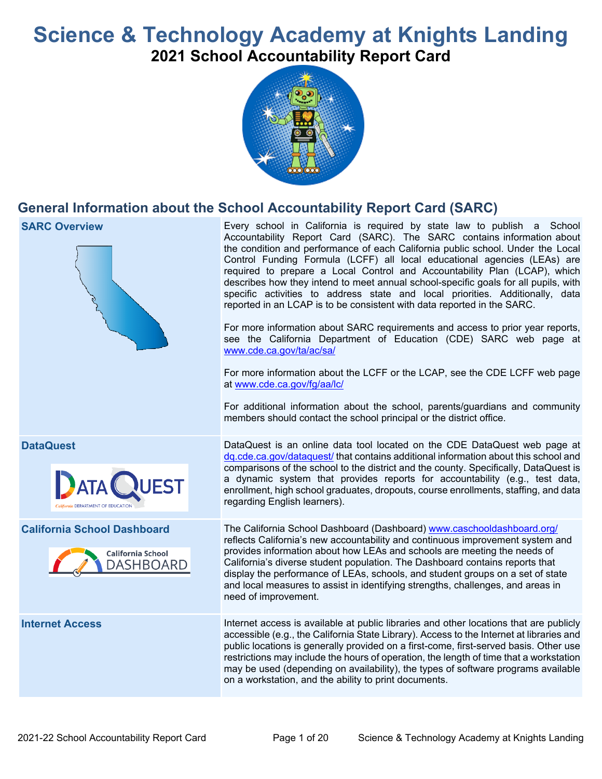# **Science & Technology Academy at Knights Landing 2021 School Accountability Report Card**



## **General Information about the School Accountability Report Card (SARC)**

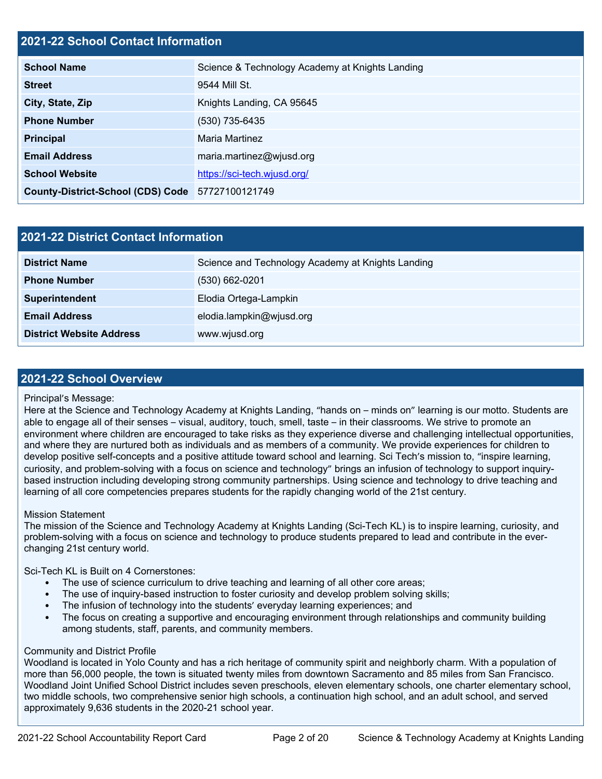### **2021-22 School Contact Information**

| <b>School Name</b>                               | Science & Technology Academy at Knights Landing |  |  |  |  |  |
|--------------------------------------------------|-------------------------------------------------|--|--|--|--|--|
| <b>Street</b>                                    | 9544 Mill St.                                   |  |  |  |  |  |
| City, State, Zip                                 | Knights Landing, CA 95645                       |  |  |  |  |  |
| <b>Phone Number</b>                              | (530) 735-6435                                  |  |  |  |  |  |
| <b>Principal</b>                                 | Maria Martinez                                  |  |  |  |  |  |
| <b>Email Address</b>                             | maria.martinez@wjusd.org                        |  |  |  |  |  |
| <b>School Website</b>                            | https://sci-tech.wjusd.org/                     |  |  |  |  |  |
| County-District-School (CDS) Code 57727100121749 |                                                 |  |  |  |  |  |

| 2021-22 District Contact Information |                                                   |  |  |  |
|--------------------------------------|---------------------------------------------------|--|--|--|
| <b>District Name</b>                 | Science and Technology Academy at Knights Landing |  |  |  |
| <b>Phone Number</b>                  | $(530)$ 662-0201                                  |  |  |  |
| Superintendent                       | Elodia Ortega-Lampkin                             |  |  |  |
| <b>Email Address</b>                 | elodia.lampkin@wjusd.org                          |  |  |  |
| <b>District Website Address</b>      | www.wjusd.org                                     |  |  |  |

#### **2021-22 School Overview**

#### Principal's Message:

Here at the Science and Technology Academy at Knights Landing, "hands on – minds on" learning is our motto. Students are able to engage all of their senses – visual, auditory, touch, smell, taste – in their classrooms. We strive to promote an environment where children are encouraged to take risks as they experience diverse and challenging intellectual opportunities, and where they are nurtured both as individuals and as members of a community. We provide experiences for children to develop positive self-concepts and a positive attitude toward school and learning. Sci Tech's mission to, "inspire learning, curiosity, and problem-solving with a focus on science and technology" brings an infusion of technology to support inquirybased instruction including developing strong community partnerships. Using science and technology to drive teaching and learning of all core competencies prepares students for the rapidly changing world of the 21st century.

#### Mission Statement

The mission of the Science and Technology Academy at Knights Landing (Sci-Tech KL) is to inspire learning, curiosity, and problem-solving with a focus on science and technology to produce students prepared to lead and contribute in the everchanging 21st century world.

#### Sci-Tech KL is Built on 4 Cornerstones:

- The use of science curriculum to drive teaching and learning of all other core areas;
- The use of inquiry-based instruction to foster curiosity and develop problem solving skills;
- The infusion of technology into the students' everyday learning experiences; and
- The focus on creating a supportive and encouraging environment through relationships and community building among students, staff, parents, and community members.

#### Community and District Profile

Woodland is located in Yolo County and has a rich heritage of community spirit and neighborly charm. With a population of more than 56,000 people, the town is situated twenty miles from downtown Sacramento and 85 miles from San Francisco. Woodland Joint Unified School District includes seven preschools, eleven elementary schools, one charter elementary school, two middle schools, two comprehensive senior high schools, a continuation high school, and an adult school, and served approximately 9,636 students in the 2020-21 school year.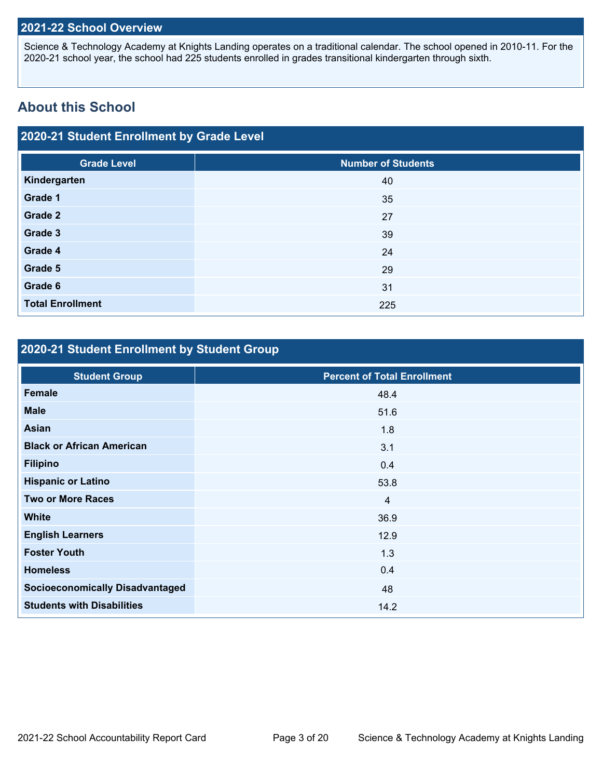### **2021-22 School Overview**

Science & Technology Academy at Knights Landing operates on a traditional calendar. The school opened in 2010-11. For the 2020-21 school year, the school had 225 students enrolled in grades transitional kindergarten through sixth.

## **About this School**

### **2020-21 Student Enrollment by Grade Level**

| <b>Grade Level</b>      | <b>Number of Students</b> |
|-------------------------|---------------------------|
| Kindergarten            | 40                        |
| Grade 1                 | 35                        |
| Grade 2                 | 27                        |
| Grade 3                 | 39                        |
| Grade 4                 | 24                        |
| Grade 5                 | 29                        |
| Grade 6                 | 31                        |
| <b>Total Enrollment</b> | 225                       |

## **2020-21 Student Enrollment by Student Group**

| <b>Student Group</b>                   | <b>Percent of Total Enrollment</b> |
|----------------------------------------|------------------------------------|
| <b>Female</b>                          | 48.4                               |
| <b>Male</b>                            | 51.6                               |
| <b>Asian</b>                           | 1.8                                |
| <b>Black or African American</b>       | 3.1                                |
| <b>Filipino</b>                        | 0.4                                |
| <b>Hispanic or Latino</b>              | 53.8                               |
| <b>Two or More Races</b>               | $\overline{4}$                     |
| <b>White</b>                           | 36.9                               |
| <b>English Learners</b>                | 12.9                               |
| <b>Foster Youth</b>                    | 1.3                                |
| <b>Homeless</b>                        | 0.4                                |
| <b>Socioeconomically Disadvantaged</b> | 48                                 |
| <b>Students with Disabilities</b>      | 14.2                               |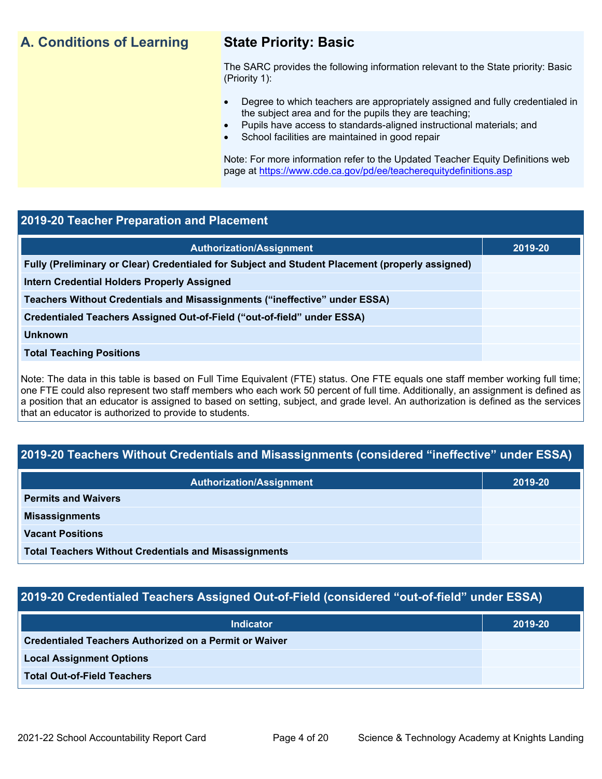## **A. Conditions of Learning State Priority: Basic**

The SARC provides the following information relevant to the State priority: Basic (Priority 1):

- Degree to which teachers are appropriately assigned and fully credentialed in the subject area and for the pupils they are teaching;
	- Pupils have access to standards-aligned instructional materials; and
- School facilities are maintained in good repair

Note: For more information refer to the Updated Teacher Equity Definitions web page at <https://www.cde.ca.gov/pd/ee/teacherequitydefinitions.asp>

### **2019-20 Teacher Preparation and Placement**

Note: The data in this table is based on Full Time Equivalent (FTE) status. One FTE equals one staff member working full time; one FTE could also represent two staff members who each work 50 percent of full time. Additionally, an assignment is defined as a position that an educator is assigned to based on setting, subject, and grade level. An authorization is defined as the services that an educator is authorized to provide to students.

## **2019-20 Teachers Without Credentials and Misassignments (considered "ineffective" under ESSA)**

| <b>Authorization/Assignment</b>                              | 2019-20 |
|--------------------------------------------------------------|---------|
| <b>Permits and Waivers</b>                                   |         |
| <b>Misassignments</b>                                        |         |
| <b>Vacant Positions</b>                                      |         |
| <b>Total Teachers Without Credentials and Misassignments</b> |         |

## **2019-20 Credentialed Teachers Assigned Out-of-Field (considered "out-of-field" under ESSA)**

| <b>Indicator</b>                                       | 2019-20 |
|--------------------------------------------------------|---------|
| Credentialed Teachers Authorized on a Permit or Waiver |         |
| <b>Local Assignment Options</b>                        |         |
| <b>Total Out-of-Field Teachers</b>                     |         |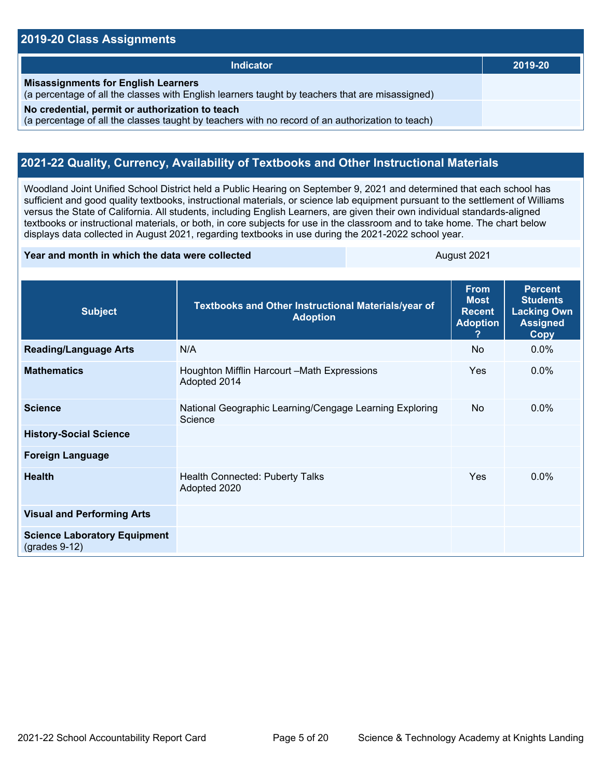#### **2019-20 Class Assignments**

| Indicator                                                                                                                                           | 2019-20 |
|-----------------------------------------------------------------------------------------------------------------------------------------------------|---------|
| <b>Misassignments for English Learners</b><br>(a percentage of all the classes with English learners taught by teachers that are misassigned)       |         |
| No credential, permit or authorization to teach<br>(a percentage of all the classes taught by teachers with no record of an authorization to teach) |         |

### **2021-22 Quality, Currency, Availability of Textbooks and Other Instructional Materials**

Woodland Joint Unified School District held a Public Hearing on September 9, 2021 and determined that each school has sufficient and good quality textbooks, instructional materials, or science lab equipment pursuant to the settlement of Williams versus the State of California. All students, including English Learners, are given their own individual standards-aligned textbooks or instructional materials, or both, in core subjects for use in the classroom and to take home. The chart below displays data collected in August 2021, regarding textbooks in use during the 2021-2022 school year.

#### **Year and month in which the data were collected August 2021**

| <b>Subject</b>                                         | Textbooks and Other Instructional Materials/year of<br><b>Adoption</b> | <b>From</b><br><b>Most</b><br><b>Recent</b><br><b>Adoption</b><br>2 | <b>Percent</b><br><b>Students</b><br><b>Lacking Own</b><br><b>Assigned</b><br>Copy |
|--------------------------------------------------------|------------------------------------------------------------------------|---------------------------------------------------------------------|------------------------------------------------------------------------------------|
| <b>Reading/Language Arts</b>                           | N/A                                                                    | <b>No</b>                                                           | $0.0\%$                                                                            |
| <b>Mathematics</b>                                     | Houghton Mifflin Harcourt - Math Expressions<br>Adopted 2014           | <b>Yes</b>                                                          | $0.0\%$                                                                            |
| <b>Science</b>                                         | National Geographic Learning/Cengage Learning Exploring<br>Science     | <b>No</b>                                                           | $0.0\%$                                                                            |
| <b>History-Social Science</b>                          |                                                                        |                                                                     |                                                                                    |
| <b>Foreign Language</b>                                |                                                                        |                                                                     |                                                                                    |
| <b>Health</b>                                          | <b>Health Connected: Puberty Talks</b><br>Adopted 2020                 | <b>Yes</b>                                                          | $0.0\%$                                                                            |
| <b>Visual and Performing Arts</b>                      |                                                                        |                                                                     |                                                                                    |
| <b>Science Laboratory Equipment</b><br>$(grades 9-12)$ |                                                                        |                                                                     |                                                                                    |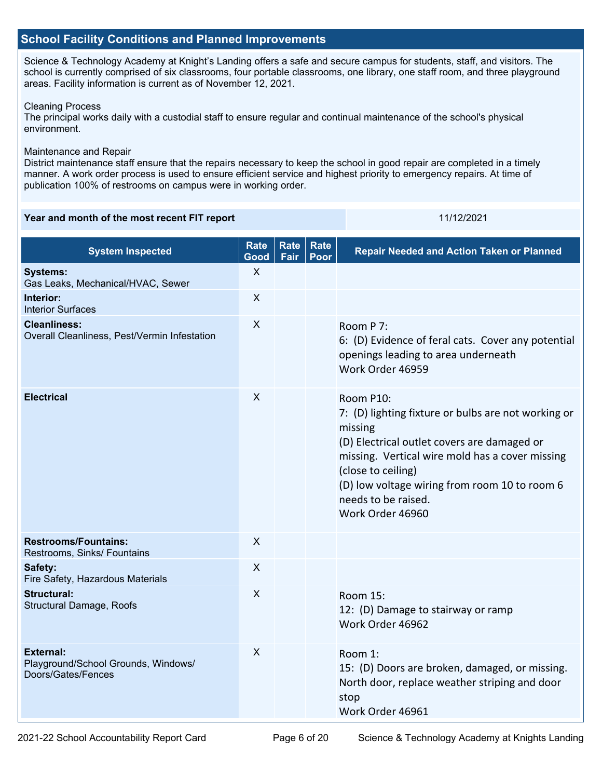#### **School Facility Conditions and Planned Improvements**

Science & Technology Academy at Knight's Landing offers a safe and secure campus for students, staff, and visitors. The school is currently comprised of six classrooms, four portable classrooms, one library, one staff room, and three playground areas. Facility information is current as of November 12, 2021.

#### Cleaning Process

The principal works daily with a custodial staff to ensure regular and continual maintenance of the school's physical environment.

#### Maintenance and Repair

District maintenance staff ensure that the repairs necessary to keep the school in good repair are completed in a timely manner. A work order process is used to ensure efficient service and highest priority to emergency repairs. At time of publication 100% of restrooms on campus were in working order.

#### **Year and month of the most recent FIT report** 11/12/2021

| <b>System Inspected</b>                                                       | <b>Rate</b><br>Good | <b>Rate</b><br>Fair | <b>Rate</b><br>Poor | <b>Repair Needed and Action Taken or Planned</b>                                                                                                                                                                                                                                                |
|-------------------------------------------------------------------------------|---------------------|---------------------|---------------------|-------------------------------------------------------------------------------------------------------------------------------------------------------------------------------------------------------------------------------------------------------------------------------------------------|
| <b>Systems:</b><br>Gas Leaks, Mechanical/HVAC, Sewer                          | $\times$            |                     |                     |                                                                                                                                                                                                                                                                                                 |
| Interior:<br><b>Interior Surfaces</b>                                         | $\times$            |                     |                     |                                                                                                                                                                                                                                                                                                 |
| <b>Cleanliness:</b><br>Overall Cleanliness, Pest/Vermin Infestation           | $\times$            |                     |                     | Room P 7:<br>6: (D) Evidence of feral cats. Cover any potential<br>openings leading to area underneath<br>Work Order 46959                                                                                                                                                                      |
| <b>Electrical</b>                                                             | $\pmb{\times}$      |                     |                     | Room P10:<br>7: (D) lighting fixture or bulbs are not working or<br>missing<br>(D) Electrical outlet covers are damaged or<br>missing. Vertical wire mold has a cover missing<br>(close to ceiling)<br>(D) low voltage wiring from room 10 to room 6<br>needs to be raised.<br>Work Order 46960 |
| <b>Restrooms/Fountains:</b><br>Restrooms, Sinks/ Fountains                    | $\times$            |                     |                     |                                                                                                                                                                                                                                                                                                 |
| Safety:<br>Fire Safety, Hazardous Materials                                   | $\times$            |                     |                     |                                                                                                                                                                                                                                                                                                 |
| <b>Structural:</b><br>Structural Damage, Roofs                                | X                   |                     |                     | Room 15:<br>12: (D) Damage to stairway or ramp<br>Work Order 46962                                                                                                                                                                                                                              |
| <b>External:</b><br>Playground/School Grounds, Windows/<br>Doors/Gates/Fences | $\mathsf{x}$        |                     |                     | Room 1:<br>15: (D) Doors are broken, damaged, or missing.<br>North door, replace weather striping and door<br>stop<br>Work Order 46961                                                                                                                                                          |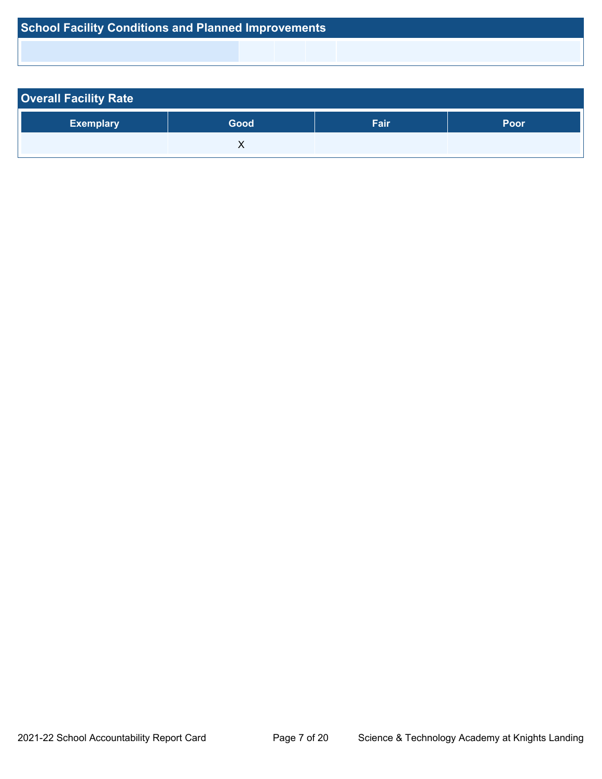|  | <b>School Facility Conditions and Planned Improvements</b> |  |
|--|------------------------------------------------------------|--|
|--|------------------------------------------------------------|--|

| <b>Overall Facility Rate</b> |      |      |      |  |  |
|------------------------------|------|------|------|--|--|
| <b>Exemplary</b>             | Good | Fair | Poor |  |  |
|                              |      |      |      |  |  |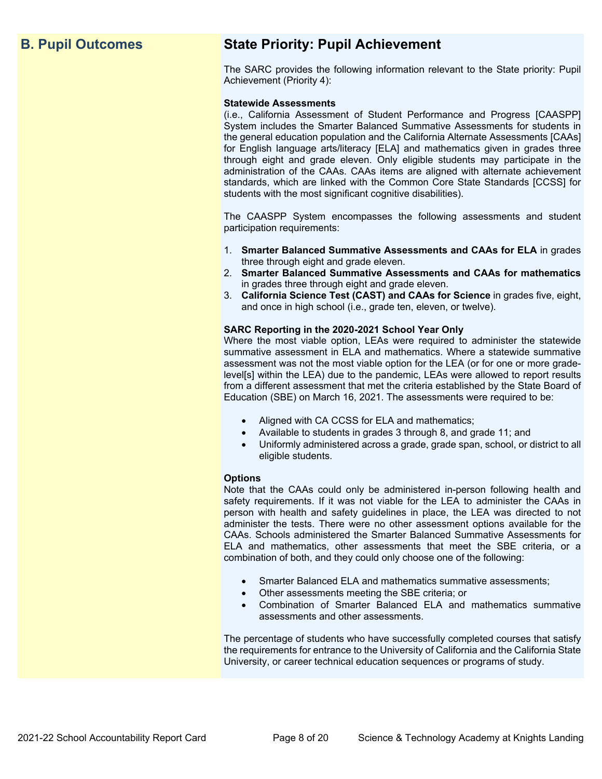## **B. Pupil Outcomes State Priority: Pupil Achievement**

The SARC provides the following information relevant to the State priority: Pupil Achievement (Priority 4):

#### **Statewide Assessments**

(i.e., California Assessment of Student Performance and Progress [CAASPP] System includes the Smarter Balanced Summative Assessments for students in the general education population and the California Alternate Assessments [CAAs] for English language arts/literacy [ELA] and mathematics given in grades three through eight and grade eleven. Only eligible students may participate in the administration of the CAAs. CAAs items are aligned with alternate achievement standards, which are linked with the Common Core State Standards [CCSS] for students with the most significant cognitive disabilities).

The CAASPP System encompasses the following assessments and student participation requirements:

- 1. **Smarter Balanced Summative Assessments and CAAs for ELA** in grades three through eight and grade eleven.
- 2. **Smarter Balanced Summative Assessments and CAAs for mathematics** in grades three through eight and grade eleven.
- 3. **California Science Test (CAST) and CAAs for Science** in grades five, eight, and once in high school (i.e., grade ten, eleven, or twelve).

#### **SARC Reporting in the 2020-2021 School Year Only**

Where the most viable option, LEAs were required to administer the statewide summative assessment in ELA and mathematics. Where a statewide summative assessment was not the most viable option for the LEA (or for one or more gradelevel[s] within the LEA) due to the pandemic, LEAs were allowed to report results from a different assessment that met the criteria established by the State Board of Education (SBE) on March 16, 2021. The assessments were required to be:

- Aligned with CA CCSS for ELA and mathematics;
- Available to students in grades 3 through 8, and grade 11; and
- Uniformly administered across a grade, grade span, school, or district to all eligible students.

#### **Options**

Note that the CAAs could only be administered in-person following health and safety requirements. If it was not viable for the LEA to administer the CAAs in person with health and safety guidelines in place, the LEA was directed to not administer the tests. There were no other assessment options available for the CAAs. Schools administered the Smarter Balanced Summative Assessments for ELA and mathematics, other assessments that meet the SBE criteria, or a combination of both, and they could only choose one of the following:

- Smarter Balanced ELA and mathematics summative assessments;
- Other assessments meeting the SBE criteria; or
- Combination of Smarter Balanced ELA and mathematics summative assessments and other assessments.

The percentage of students who have successfully completed courses that satisfy the requirements for entrance to the University of California and the California State University, or career technical education sequences or programs of study.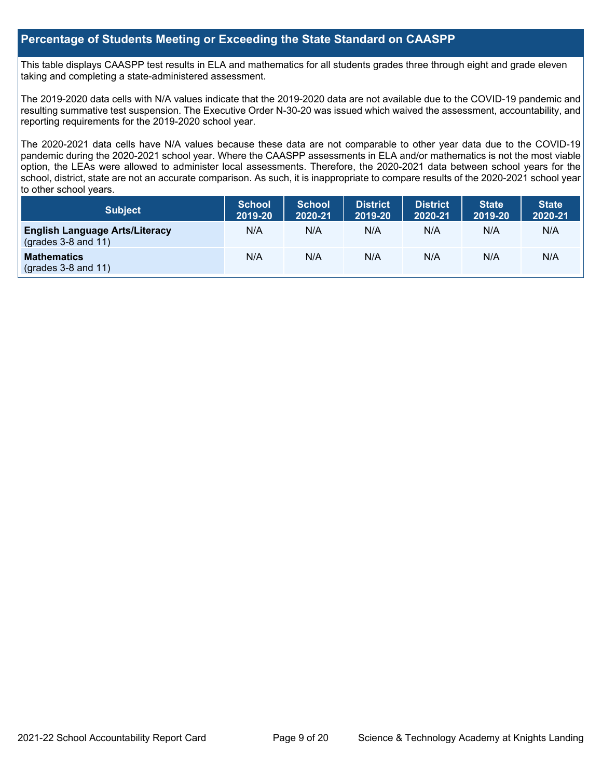#### **Percentage of Students Meeting or Exceeding the State Standard on CAASPP**

This table displays CAASPP test results in ELA and mathematics for all students grades three through eight and grade eleven taking and completing a state-administered assessment.

The 2019-2020 data cells with N/A values indicate that the 2019-2020 data are not available due to the COVID-19 pandemic and resulting summative test suspension. The Executive Order N-30-20 was issued which waived the assessment, accountability, and reporting requirements for the 2019-2020 school year.

The 2020-2021 data cells have N/A values because these data are not comparable to other year data due to the COVID-19 pandemic during the 2020-2021 school year. Where the CAASPP assessments in ELA and/or mathematics is not the most viable option, the LEAs were allowed to administer local assessments. Therefore, the 2020-2021 data between school years for the school, district, state are not an accurate comparison. As such, it is inappropriate to compare results of the 2020-2021 school year to other school years.

| <b>Subject</b>                                                       | <b>School</b><br>2019-20 | <b>School</b><br>2020-21 | District<br>2019-20 | <b>District</b><br>2020-21 | <b>State</b><br>2019-20 | <b>State</b><br>2020-21 |
|----------------------------------------------------------------------|--------------------------|--------------------------|---------------------|----------------------------|-------------------------|-------------------------|
| <b>English Language Arts/Literacy</b><br>$\left($ grades 3-8 and 11) | N/A                      | N/A                      | N/A                 | N/A                        | N/A                     | N/A                     |
| <b>Mathematics</b><br>(grades $3-8$ and $11$ )                       | N/A                      | N/A                      | N/A                 | N/A                        | N/A                     | N/A                     |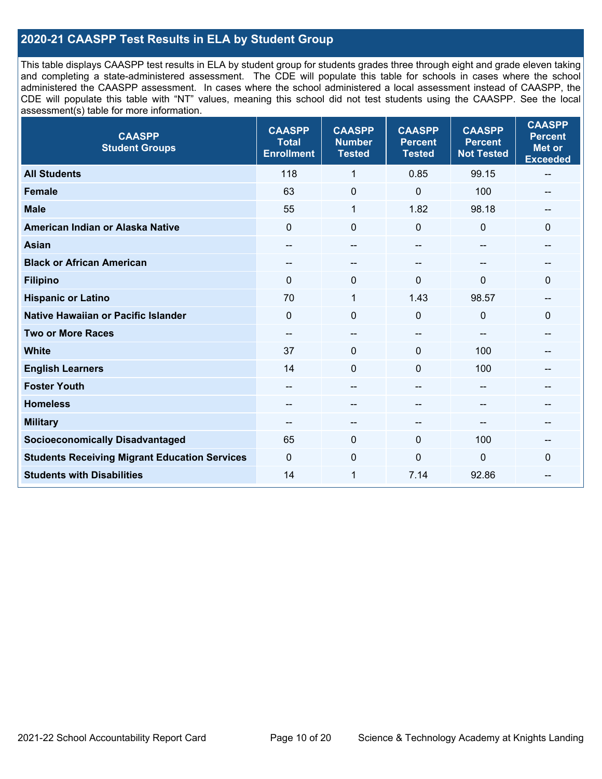### **2020-21 CAASPP Test Results in ELA by Student Group**

This table displays CAASPP test results in ELA by student group for students grades three through eight and grade eleven taking and completing a state-administered assessment. The CDE will populate this table for schools in cases where the school administered the CAASPP assessment. In cases where the school administered a local assessment instead of CAASPP, the CDE will populate this table with "NT" values, meaning this school did not test students using the CAASPP. See the local assessment(s) table for more information.

| <b>CAASPP</b><br><b>Student Groups</b>               | <b>CAASPP</b><br><b>Total</b><br><b>Enrollment</b> | <b>CAASPP</b><br><b>Number</b><br><b>Tested</b> | <b>CAASPP</b><br><b>Percent</b><br><b>Tested</b> | <b>CAASPP</b><br><b>Percent</b><br><b>Not Tested</b> | <b>CAASPP</b><br><b>Percent</b><br><b>Met or</b><br><b>Exceeded</b> |
|------------------------------------------------------|----------------------------------------------------|-------------------------------------------------|--------------------------------------------------|------------------------------------------------------|---------------------------------------------------------------------|
| <b>All Students</b>                                  | 118                                                | 1                                               | 0.85                                             | 99.15                                                | --                                                                  |
| <b>Female</b>                                        | 63                                                 | $\pmb{0}$                                       | $\Omega$                                         | 100                                                  |                                                                     |
| <b>Male</b>                                          | 55                                                 | $\mathbf{1}$                                    | 1.82                                             | 98.18                                                | $-$                                                                 |
| American Indian or Alaska Native                     | $\mathbf 0$                                        | $\pmb{0}$                                       | $\mathbf 0$                                      | $\mathbf 0$                                          | 0                                                                   |
| <b>Asian</b>                                         | $- -$                                              | $-\!$                                           | --                                               | $-$                                                  | --                                                                  |
| <b>Black or African American</b>                     |                                                    | $\overline{\phantom{m}}$                        | --                                               |                                                      |                                                                     |
| <b>Filipino</b>                                      | $\Omega$                                           | 0                                               | $\Omega$                                         | $\Omega$                                             | $\Omega$                                                            |
| <b>Hispanic or Latino</b>                            | 70                                                 | $\mathbf{1}$                                    | 1.43                                             | 98.57                                                | --                                                                  |
| <b>Native Hawaiian or Pacific Islander</b>           | $\mathbf 0$                                        | $\pmb{0}$                                       | $\mathbf 0$                                      | $\mathbf 0$                                          | 0                                                                   |
| <b>Two or More Races</b>                             | $- -$                                              | $-\!$                                           | --                                               | $-$                                                  | --                                                                  |
| <b>White</b>                                         | 37                                                 | $\mathbf 0$                                     | $\Omega$                                         | 100                                                  |                                                                     |
| <b>English Learners</b>                              | 14                                                 | $\mathbf 0$                                     | $\Omega$                                         | 100                                                  |                                                                     |
| <b>Foster Youth</b>                                  | $\qquad \qquad \qquad -$                           | $\overline{\phantom{m}}$                        | --                                               | $-$                                                  | --                                                                  |
| <b>Homeless</b>                                      | $\hspace{0.05cm}$ – $\hspace{0.05cm}$              | $\overline{\phantom{m}}$                        | --                                               | $\qquad \qquad -$                                    | --                                                                  |
| <b>Military</b>                                      | $-$                                                | --                                              | --                                               |                                                      | --                                                                  |
| <b>Socioeconomically Disadvantaged</b>               | 65                                                 | $\mathbf 0$                                     | $\mathbf{0}$                                     | 100                                                  |                                                                     |
| <b>Students Receiving Migrant Education Services</b> | $\Omega$                                           | 0                                               | $\mathbf 0$                                      | $\mathbf 0$                                          | 0                                                                   |
| <b>Students with Disabilities</b>                    | 14                                                 | 1                                               | 7.14                                             | 92.86                                                | --                                                                  |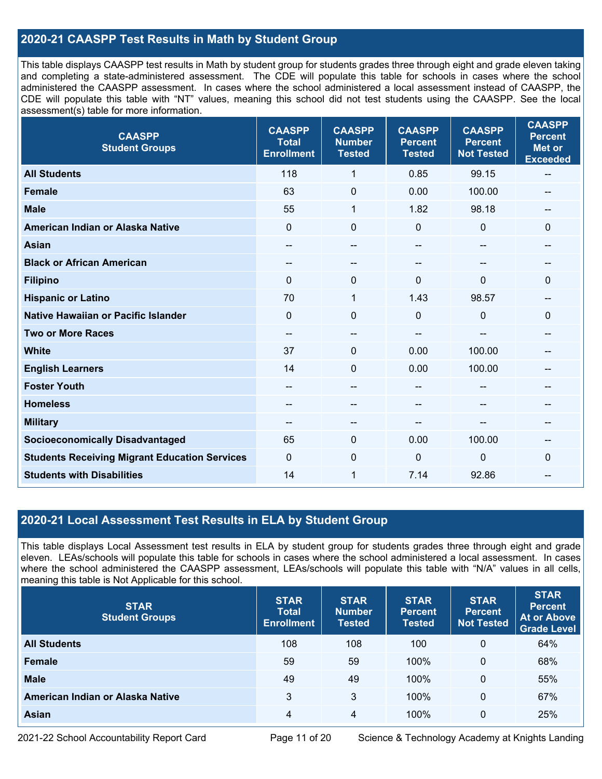### **2020-21 CAASPP Test Results in Math by Student Group**

This table displays CAASPP test results in Math by student group for students grades three through eight and grade eleven taking and completing a state-administered assessment. The CDE will populate this table for schools in cases where the school administered the CAASPP assessment. In cases where the school administered a local assessment instead of CAASPP, the CDE will populate this table with "NT" values, meaning this school did not test students using the CAASPP. See the local assessment(s) table for more information.

| <b>CAASPP</b><br><b>Student Groups</b>               | <b>CAASPP</b><br><b>Total</b><br><b>Enrollment</b> | <b>CAASPP</b><br><b>Number</b><br><b>Tested</b> | <b>CAASPP</b><br><b>Percent</b><br><b>Tested</b> | <b>CAASPP</b><br><b>Percent</b><br><b>Not Tested</b> | <b>CAASPP</b><br><b>Percent</b><br><b>Met or</b><br><b>Exceeded</b> |
|------------------------------------------------------|----------------------------------------------------|-------------------------------------------------|--------------------------------------------------|------------------------------------------------------|---------------------------------------------------------------------|
| <b>All Students</b>                                  | 118                                                | 1                                               | 0.85                                             | 99.15                                                | $\overline{\phantom{m}}$                                            |
| <b>Female</b>                                        | 63                                                 | $\mathbf 0$                                     | 0.00                                             | 100.00                                               |                                                                     |
| <b>Male</b>                                          | 55                                                 | 1                                               | 1.82                                             | 98.18                                                | --                                                                  |
| American Indian or Alaska Native                     | $\mathbf{0}$                                       | $\mathbf 0$                                     | $\mathbf 0$                                      | 0                                                    | $\mathbf 0$                                                         |
| <b>Asian</b>                                         |                                                    | --                                              |                                                  |                                                      |                                                                     |
| <b>Black or African American</b>                     | --                                                 | --                                              | --                                               |                                                      | --                                                                  |
| <b>Filipino</b>                                      | $\mathbf{0}$                                       | 0                                               | $\Omega$                                         | 0                                                    | 0                                                                   |
| <b>Hispanic or Latino</b>                            | 70                                                 | 1                                               | 1.43                                             | 98.57                                                | --                                                                  |
| <b>Native Hawaiian or Pacific Islander</b>           | $\mathbf{0}$                                       | $\mathbf 0$                                     | $\mathbf 0$                                      | $\Omega$                                             | $\mathbf 0$                                                         |
| <b>Two or More Races</b>                             |                                                    | $-$                                             |                                                  |                                                      | --                                                                  |
| <b>White</b>                                         | 37                                                 | $\Omega$                                        | 0.00                                             | 100.00                                               | $-$                                                                 |
| <b>English Learners</b>                              | 14                                                 | $\mathbf 0$                                     | 0.00                                             | 100.00                                               |                                                                     |
| <b>Foster Youth</b>                                  |                                                    | $-$                                             | --                                               |                                                      |                                                                     |
| <b>Homeless</b>                                      | $\hspace{0.05cm}$ – $\hspace{0.05cm}$              | $-$                                             | --                                               | --                                                   | --                                                                  |
| <b>Military</b>                                      |                                                    | --                                              |                                                  |                                                      | --                                                                  |
| <b>Socioeconomically Disadvantaged</b>               | 65                                                 | 0                                               | 0.00                                             | 100.00                                               | --                                                                  |
| <b>Students Receiving Migrant Education Services</b> | $\mathbf{0}$                                       | $\Omega$                                        | $\mathbf{0}$                                     | 0                                                    | $\Omega$                                                            |
| <b>Students with Disabilities</b>                    | 14                                                 | 1                                               | 7.14                                             | 92.86                                                |                                                                     |

### **2020-21 Local Assessment Test Results in ELA by Student Group**

This table displays Local Assessment test results in ELA by student group for students grades three through eight and grade eleven. LEAs/schools will populate this table for schools in cases where the school administered a local assessment. In cases where the school administered the CAASPP assessment, LEAs/schools will populate this table with "N/A" values in all cells, meaning this table is Not Applicable for this school.

| <b>STAR</b><br><b>Student Groups</b> | <b>STAR</b><br><b>Total</b><br><b>Enrollment</b> | <b>STAR</b><br><b>Number</b><br><b>Tested</b> | <b>STAR</b><br><b>Percent</b><br><b>Tested</b> | <b>STAR</b><br><b>Percent</b><br><b>Not Tested</b> | <b>STAR</b><br><b>Percent</b><br>At or Above<br><b>Grade Level</b> |
|--------------------------------------|--------------------------------------------------|-----------------------------------------------|------------------------------------------------|----------------------------------------------------|--------------------------------------------------------------------|
| <b>All Students</b>                  | 108                                              | 108                                           | 100                                            | 0                                                  | 64%                                                                |
| Female                               | 59                                               | 59                                            | 100%                                           | 0                                                  | 68%                                                                |
| <b>Male</b>                          | 49                                               | 49                                            | 100%                                           | 0                                                  | 55%                                                                |
| American Indian or Alaska Native     | 3                                                | 3                                             | 100%                                           | 0                                                  | 67%                                                                |
| Asian                                | 4                                                | 4                                             | 100%                                           | 0                                                  | 25%                                                                |

2021-22 School Accountability Report Card Page 11 of 20 Science & Technology Academy at Knights Landing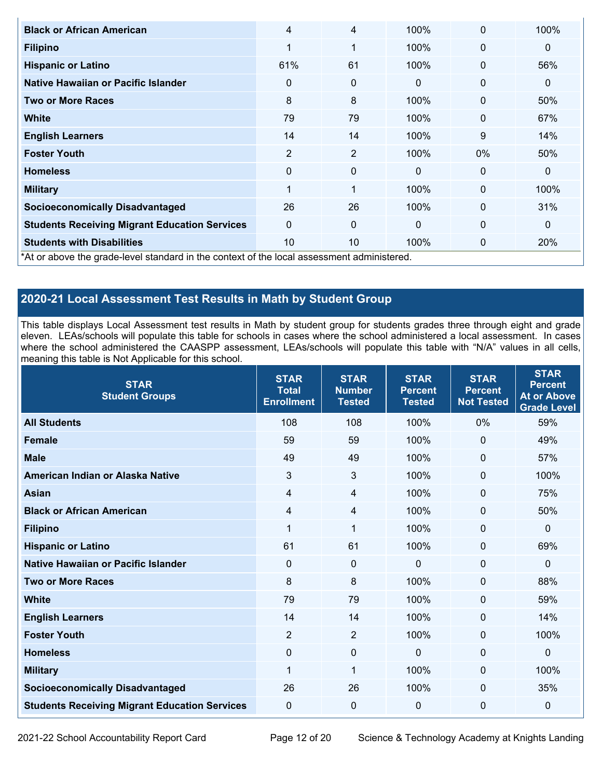| <b>Black or African American</b>                                                           | 4              | 4              | 100%         | $\mathbf 0$  | 100%         |
|--------------------------------------------------------------------------------------------|----------------|----------------|--------------|--------------|--------------|
| <b>Filipino</b>                                                                            | 1              | $\mathbf{1}$   | 100%         | $\mathbf 0$  | $\mathbf{0}$ |
| <b>Hispanic or Latino</b>                                                                  | 61%            | 61             | 100%         | $\mathbf 0$  | 56%          |
| Native Hawaiian or Pacific Islander                                                        | $\mathbf 0$    | 0              | $\mathbf{0}$ | $\mathbf 0$  | $\mathbf{0}$ |
| <b>Two or More Races</b>                                                                   | 8              | 8              | 100%         | $\mathbf 0$  | 50%          |
| <b>White</b>                                                                               | 79             | 79             | 100%         | $\mathbf 0$  | 67%          |
| <b>English Learners</b>                                                                    | 14             | 14             | 100%         | 9            | 14%          |
| <b>Foster Youth</b>                                                                        | $\overline{2}$ | $\overline{2}$ | 100%         | 0%           | 50%          |
| <b>Homeless</b>                                                                            | $\mathbf{0}$   | 0              | $\mathbf{0}$ | $\mathbf{0}$ | $\mathbf{0}$ |
| <b>Military</b>                                                                            | 1              | 1              | 100%         | $\mathbf 0$  | 100%         |
| <b>Socioeconomically Disadvantaged</b>                                                     | 26             | 26             | 100%         | $\mathbf 0$  | 31%          |
| <b>Students Receiving Migrant Education Services</b>                                       | $\Omega$       | 0              | $\mathbf{0}$ | $\mathbf 0$  | $\mathbf 0$  |
| <b>Students with Disabilities</b>                                                          | 10             | 10             | 100%         | 0            | 20%          |
| *At or above the grade-level standard in the context of the local assessment administered. |                |                |              |              |              |

## **2020-21 Local Assessment Test Results in Math by Student Group**

This table displays Local Assessment test results in Math by student group for students grades three through eight and grade eleven. LEAs/schools will populate this table for schools in cases where the school administered a local assessment. In cases where the school administered the CAASPP assessment, LEAs/schools will populate this table with "N/A" values in all cells, meaning this table is Not Applicable for this school.

| <b>STAR</b><br><b>Student Groups</b>                 | <b>STAR</b><br><b>Total</b><br><b>Enrollment</b> | <b>STAR</b><br><b>Number</b><br><b>Tested</b> | <b>STAR</b><br><b>Percent</b><br><b>Tested</b> | <b>STAR</b><br><b>Percent</b><br><b>Not Tested</b> | <b>STAR</b><br><b>Percent</b><br><b>At or Above</b><br><b>Grade Level</b> |
|------------------------------------------------------|--------------------------------------------------|-----------------------------------------------|------------------------------------------------|----------------------------------------------------|---------------------------------------------------------------------------|
| <b>All Students</b>                                  | 108                                              | 108                                           | 100%                                           | 0%                                                 | 59%                                                                       |
| <b>Female</b>                                        | 59                                               | 59                                            | 100%                                           | $\mathbf 0$                                        | 49%                                                                       |
| <b>Male</b>                                          | 49                                               | 49                                            | 100%                                           | $\mathbf{0}$                                       | 57%                                                                       |
| American Indian or Alaska Native                     | 3                                                | $\mathfrak{S}$                                | 100%                                           | $\mathbf{0}$                                       | 100%                                                                      |
| <b>Asian</b>                                         | $\overline{4}$                                   | $\overline{\mathbf{4}}$                       | 100%                                           | $\overline{0}$                                     | 75%                                                                       |
| <b>Black or African American</b>                     | 4                                                | $\overline{4}$                                | 100%                                           | 0                                                  | 50%                                                                       |
| <b>Filipino</b>                                      | 1                                                | 1                                             | 100%                                           | $\mathbf{0}$                                       | 0                                                                         |
| <b>Hispanic or Latino</b>                            | 61                                               | 61                                            | 100%                                           | $\mathbf 0$                                        | 69%                                                                       |
| Native Hawaiian or Pacific Islander                  | $\Omega$                                         | 0                                             | $\Omega$                                       | $\mathbf 0$                                        | 0                                                                         |
| <b>Two or More Races</b>                             | 8                                                | 8                                             | 100%                                           | $\mathbf 0$                                        | 88%                                                                       |
| <b>White</b>                                         | 79                                               | 79                                            | 100%                                           | 0                                                  | 59%                                                                       |
| <b>English Learners</b>                              | 14                                               | 14                                            | 100%                                           | $\mathbf 0$                                        | 14%                                                                       |
| <b>Foster Youth</b>                                  | $\overline{2}$                                   | $\overline{2}$                                | 100%                                           | 0                                                  | 100%                                                                      |
| <b>Homeless</b>                                      | $\mathbf 0$                                      | $\pmb{0}$                                     | $\Omega$                                       | $\Omega$                                           | 0                                                                         |
| <b>Military</b>                                      | $\mathbf 1$                                      | 1                                             | 100%                                           | $\mathbf 0$                                        | 100%                                                                      |
| <b>Socioeconomically Disadvantaged</b>               | 26                                               | 26                                            | 100%                                           | 0                                                  | 35%                                                                       |
| <b>Students Receiving Migrant Education Services</b> | 0                                                | 0                                             | 0                                              | $\mathbf 0$                                        | 0                                                                         |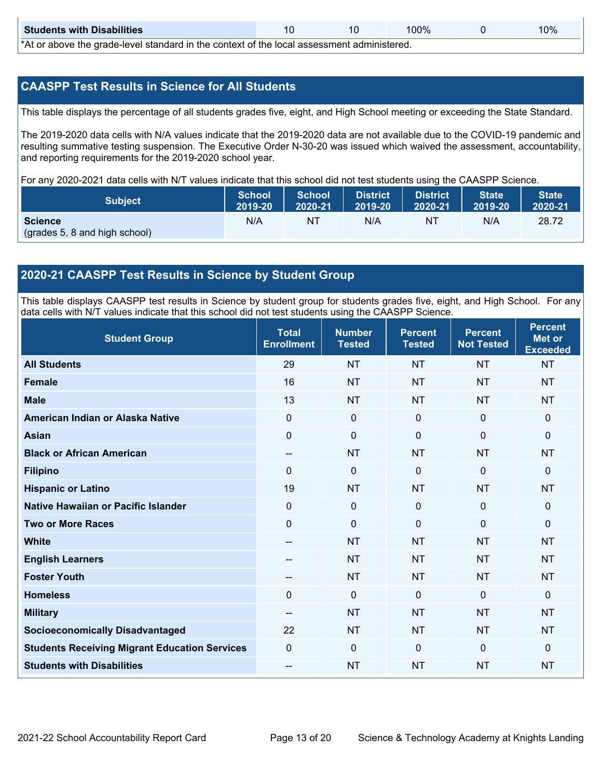| <b>Students with Disabilities</b>                                                                                |  |  | 100% |  | 10% |  |  |  |  |
|------------------------------------------------------------------------------------------------------------------|--|--|------|--|-----|--|--|--|--|
| ♦ A theory in the computer force for the stand for the computer of the classes of a second control of the formul |  |  |      |  |     |  |  |  |  |

\*At or above the grade-level standard in the context of the local assessment administered.

#### **CAASPP Test Results in Science for All Students**

This table displays the percentage of all students grades five, eight, and High School meeting or exceeding the State Standard.

The 2019-2020 data cells with N/A values indicate that the 2019-2020 data are not available due to the COVID-19 pandemic and resulting summative testing suspension. The Executive Order N-30-20 was issued which waived the assessment, accountability, and reporting requirements for the 2019-2020 school year.

For any 2020-2021 data cells with N/T values indicate that this school did not test students using the CAASPP Science.

| <b>Subject</b>                                  | <b>School</b> | <b>School</b> | <b>District</b> | District | <b>State</b> | State <sup>1</sup> |
|-------------------------------------------------|---------------|---------------|-----------------|----------|--------------|--------------------|
|                                                 | 2019-20       | 2020-21       | 2019-20         | 2020-21  | 2019-20      | 2020-21            |
| <b>Science</b><br>(grades 5, 8 and high school) | N/A           | ΝT            | N/A             | NT       | N/A          | 28.72              |

#### **2020-21 CAASPP Test Results in Science by Student Group**

This table displays CAASPP test results in Science by student group for students grades five, eight, and High School. For any data cells with N/T values indicate that this school did not test students using the CAASPP Science.

| <b>Student Group</b>                                 | <b>Total</b><br><b>Enrollment</b> | <b>Number</b><br><b>Tested</b> | <b>Percent</b><br><b>Tested</b> | <b>Percent</b><br><b>Not Tested</b> | <b>Percent</b><br>Met or<br><b>Exceeded</b> |
|------------------------------------------------------|-----------------------------------|--------------------------------|---------------------------------|-------------------------------------|---------------------------------------------|
| <b>All Students</b>                                  | 29                                | <b>NT</b>                      | <b>NT</b>                       | <b>NT</b>                           | <b>NT</b>                                   |
| <b>Female</b>                                        | 16                                | <b>NT</b>                      | <b>NT</b>                       | <b>NT</b>                           | <b>NT</b>                                   |
| <b>Male</b>                                          | 13                                | <b>NT</b>                      | <b>NT</b>                       | <b>NT</b>                           | <b>NT</b>                                   |
| American Indian or Alaska Native                     | 0                                 | $\mathbf 0$                    | $\mathbf 0$                     | $\mathbf 0$                         | $\mathbf 0$                                 |
| <b>Asian</b>                                         | 0                                 | 0                              | $\mathbf 0$                     | $\mathbf 0$                         | $\mathbf 0$                                 |
| <b>Black or African American</b>                     | $-$                               | <b>NT</b>                      | <b>NT</b>                       | <b>NT</b>                           | <b>NT</b>                                   |
| <b>Filipino</b>                                      | $\Omega$                          | $\mathbf 0$                    | $\Omega$                        | $\mathbf 0$                         | $\mathbf{0}$                                |
| <b>Hispanic or Latino</b>                            | 19                                | <b>NT</b>                      | <b>NT</b>                       | <b>NT</b>                           | <b>NT</b>                                   |
| Native Hawaiian or Pacific Islander                  | 0                                 | 0                              | $\mathbf 0$                     | $\mathbf{0}$                        | $\mathbf 0$                                 |
| <b>Two or More Races</b>                             | $\Omega$                          | $\mathbf 0$                    | $\Omega$                        | $\mathbf 0$                         | $\mathbf{0}$                                |
| <b>White</b>                                         | $\overline{\phantom{m}}$          | <b>NT</b>                      | <b>NT</b>                       | <b>NT</b>                           | <b>NT</b>                                   |
| <b>English Learners</b>                              |                                   | <b>NT</b>                      | <b>NT</b>                       | <b>NT</b>                           | <b>NT</b>                                   |
| <b>Foster Youth</b>                                  |                                   | <b>NT</b>                      | <b>NT</b>                       | <b>NT</b>                           | <b>NT</b>                                   |
| <b>Homeless</b>                                      | $\Omega$                          | $\mathbf 0$                    | $\mathbf{0}$                    | $\mathbf 0$                         | $\mathbf 0$                                 |
| <b>Military</b>                                      | $\overline{\phantom{m}}$          | <b>NT</b>                      | <b>NT</b>                       | <b>NT</b>                           | <b>NT</b>                                   |
| <b>Socioeconomically Disadvantaged</b>               | 22                                | <b>NT</b>                      | <b>NT</b>                       | <b>NT</b>                           | <b>NT</b>                                   |
| <b>Students Receiving Migrant Education Services</b> | 0                                 | 0                              | $\mathbf 0$                     | $\mathbf{0}$                        | $\mathbf{0}$                                |
| <b>Students with Disabilities</b>                    | --                                | <b>NT</b>                      | <b>NT</b>                       | <b>NT</b>                           | <b>NT</b>                                   |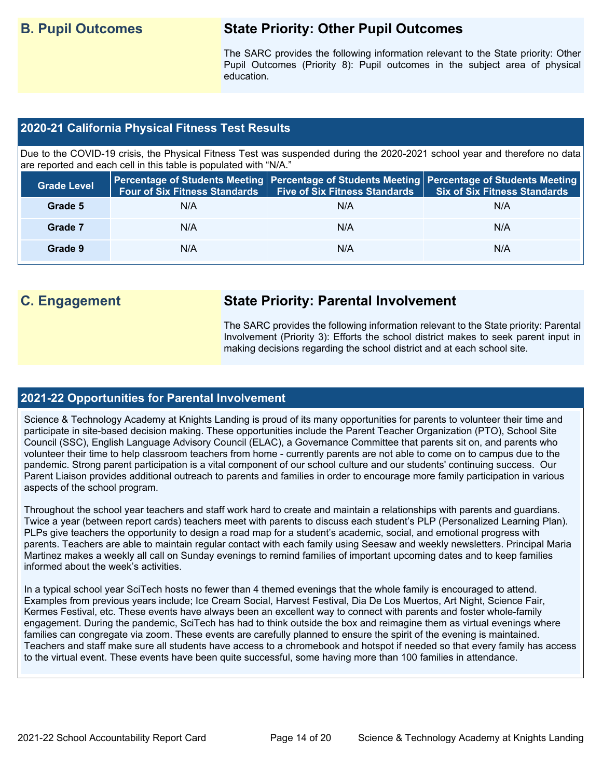## **B. Pupil Outcomes State Priority: Other Pupil Outcomes**

The SARC provides the following information relevant to the State priority: Other Pupil Outcomes (Priority 8): Pupil outcomes in the subject area of physical education.

### **2020-21 California Physical Fitness Test Results**

Due to the COVID-19 crisis, the Physical Fitness Test was suspended during the 2020-2021 school year and therefore no data are reported and each cell in this table is populated with "N/A."

| <b>Grade Level</b> | <b>Four of Six Fitness Standards</b> | <b>Five of Six Fitness Standards</b> | Percentage of Students Meeting   Percentage of Students Meeting   Percentage of Students Meeting<br>Six of Six Fitness Standards |
|--------------------|--------------------------------------|--------------------------------------|----------------------------------------------------------------------------------------------------------------------------------|
| Grade 5            | N/A                                  | N/A                                  | N/A                                                                                                                              |
| Grade 7            | N/A                                  | N/A                                  | N/A                                                                                                                              |
| Grade 9            | N/A                                  | N/A                                  | N/A                                                                                                                              |

## **C. Engagement State Priority: Parental Involvement**

The SARC provides the following information relevant to the State priority: Parental Involvement (Priority 3): Efforts the school district makes to seek parent input in making decisions regarding the school district and at each school site.

### **2021-22 Opportunities for Parental Involvement**

Science & Technology Academy at Knights Landing is proud of its many opportunities for parents to volunteer their time and participate in site-based decision making. These opportunities include the Parent Teacher Organization (PTO), School Site Council (SSC), English Language Advisory Council (ELAC), a Governance Committee that parents sit on, and parents who volunteer their time to help classroom teachers from home - currently parents are not able to come on to campus due to the pandemic. Strong parent participation is a vital component of our school culture and our students' continuing success. Our Parent Liaison provides additional outreach to parents and families in order to encourage more family participation in various aspects of the school program.

Throughout the school year teachers and staff work hard to create and maintain a relationships with parents and guardians. Twice a year (between report cards) teachers meet with parents to discuss each student's PLP (Personalized Learning Plan). PLPs give teachers the opportunity to design a road map for a student's academic, social, and emotional progress with parents. Teachers are able to maintain regular contact with each family using Seesaw and weekly newsletters. Principal Maria Martinez makes a weekly all call on Sunday evenings to remind families of important upcoming dates and to keep families informed about the week's activities.

In a typical school year SciTech hosts no fewer than 4 themed evenings that the whole family is encouraged to attend. Examples from previous years include; Ice Cream Social, Harvest Festival, Dia De Los Muertos, Art Night, Science Fair, Kermes Festival, etc. These events have always been an excellent way to connect with parents and foster whole-family engagement. During the pandemic, SciTech has had to think outside the box and reimagine them as virtual evenings where families can congregate via zoom. These events are carefully planned to ensure the spirit of the evening is maintained. Teachers and staff make sure all students have access to a chromebook and hotspot if needed so that every family has access to the virtual event. These events have been quite successful, some having more than 100 families in attendance.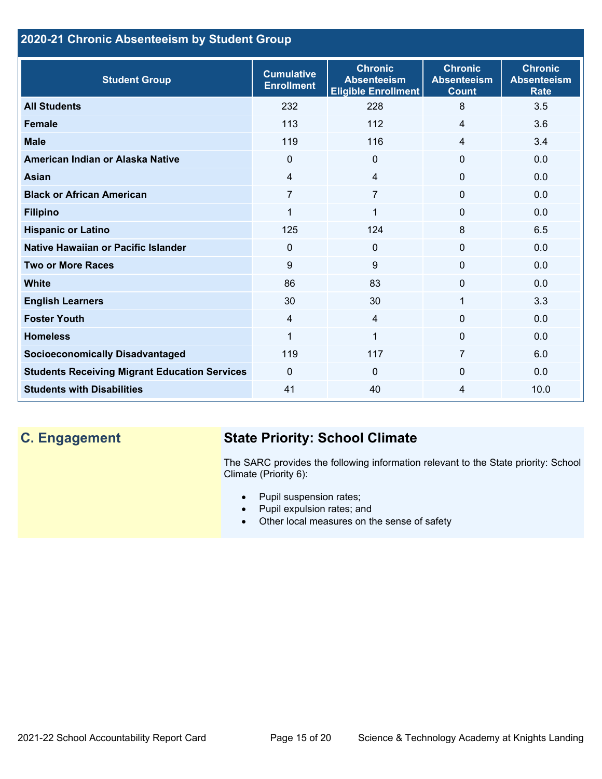## **2020-21 Chronic Absenteeism by Student Group**

| <b>Student Group</b>                                 | <b>Cumulative</b><br><b>Enrollment</b> | <b>Chronic</b><br><b>Absenteeism</b><br><b>Eligible Enrollment</b> | <b>Chronic</b><br><b>Absenteeism</b><br><b>Count</b> | <b>Chronic</b><br><b>Absenteeism</b><br><b>Rate</b> |
|------------------------------------------------------|----------------------------------------|--------------------------------------------------------------------|------------------------------------------------------|-----------------------------------------------------|
| <b>All Students</b>                                  | 232                                    | 228                                                                | 8                                                    | 3.5                                                 |
| <b>Female</b>                                        | 113                                    | 112                                                                | 4                                                    | 3.6                                                 |
| <b>Male</b>                                          | 119                                    | 116                                                                | 4                                                    | 3.4                                                 |
| American Indian or Alaska Native                     | $\Omega$                               | $\mathbf{0}$                                                       | 0                                                    | 0.0                                                 |
| <b>Asian</b>                                         | 4                                      | $\overline{4}$                                                     | 0                                                    | 0.0                                                 |
| <b>Black or African American</b>                     | 7                                      | 7                                                                  | $\mathbf{0}$                                         | 0.0                                                 |
| <b>Filipino</b>                                      | $\mathbf{1}$                           | $\mathbf{1}$                                                       | $\mathbf{0}$                                         | 0.0                                                 |
| <b>Hispanic or Latino</b>                            | 125                                    | 124                                                                | 8                                                    | 6.5                                                 |
| Native Hawaiian or Pacific Islander                  | 0                                      | $\mathbf 0$                                                        | 0                                                    | 0.0                                                 |
| <b>Two or More Races</b>                             | 9                                      | 9                                                                  | 0                                                    | 0.0                                                 |
| <b>White</b>                                         | 86                                     | 83                                                                 | 0                                                    | 0.0                                                 |
| <b>English Learners</b>                              | 30                                     | 30                                                                 | 1                                                    | 3.3                                                 |
| <b>Foster Youth</b>                                  | 4                                      | $\overline{4}$                                                     | $\Omega$                                             | 0.0                                                 |
| <b>Homeless</b>                                      | 1                                      | $\mathbf{1}$                                                       | 0                                                    | 0.0                                                 |
| <b>Socioeconomically Disadvantaged</b>               | 119                                    | 117                                                                | 7                                                    | 6.0                                                 |
| <b>Students Receiving Migrant Education Services</b> | $\Omega$                               | $\Omega$                                                           | 0                                                    | 0.0                                                 |
| <b>Students with Disabilities</b>                    | 41                                     | 40                                                                 | 4                                                    | 10.0                                                |

# **C. Engagement State Priority: School Climate**

The SARC provides the following information relevant to the State priority: School Climate (Priority 6):

- Pupil suspension rates;
- Pupil expulsion rates; and
- Other local measures on the sense of safety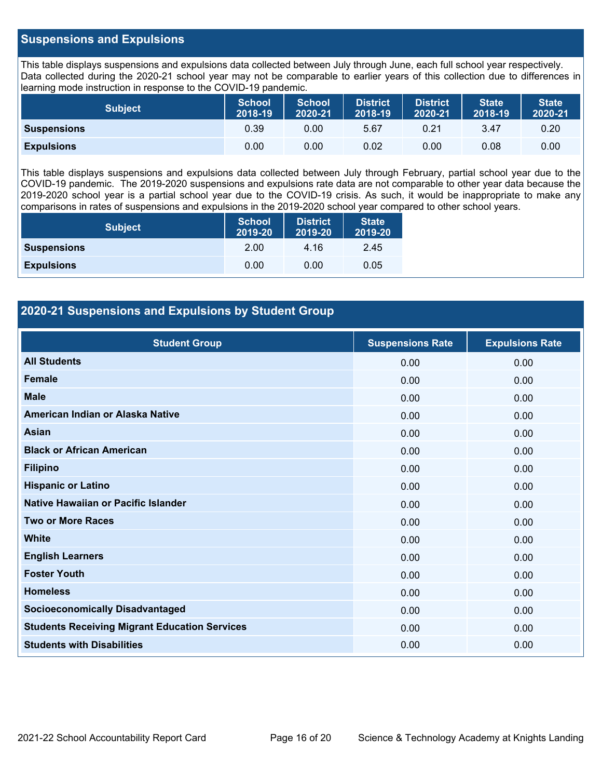#### **Suspensions and Expulsions**

This table displays suspensions and expulsions data collected between July through June, each full school year respectively. Data collected during the 2020-21 school year may not be comparable to earlier years of this collection due to differences in learning mode instruction in response to the COVID-19 pandemic.

| <b>Subject</b>     | <b>School</b><br>2018-19 | School<br>2020-21 | <b>District</b><br>2018-19 | <b>District</b><br>2020-21 | <b>State</b><br>2018-19 | <b>State</b><br>2020-21 |
|--------------------|--------------------------|-------------------|----------------------------|----------------------------|-------------------------|-------------------------|
| <b>Suspensions</b> | 0.39                     | 0.00              | 5.67                       | 0.21                       | 3.47                    | 0.20                    |
| <b>Expulsions</b>  | 0.00                     | 0.00              | 0.02                       | 0.00                       | 0.08                    | 0.00                    |

This table displays suspensions and expulsions data collected between July through February, partial school year due to the COVID-19 pandemic. The 2019-2020 suspensions and expulsions rate data are not comparable to other year data because the 2019-2020 school year is a partial school year due to the COVID-19 crisis. As such, it would be inappropriate to make any comparisons in rates of suspensions and expulsions in the 2019-2020 school year compared to other school years.

| <b>Subject</b>     | <b>School</b><br>2019-20 | <b>District</b><br>2019-20 | <b>State</b><br>2019-20 |
|--------------------|--------------------------|----------------------------|-------------------------|
| <b>Suspensions</b> | 2.00                     | 4.16                       | 2.45                    |
| <b>Expulsions</b>  | 0.00                     | 0.00                       | 0.05                    |

### **2020-21 Suspensions and Expulsions by Student Group**

| <b>Student Group</b>                                 | <b>Suspensions Rate</b> | <b>Expulsions Rate</b> |
|------------------------------------------------------|-------------------------|------------------------|
| <b>All Students</b>                                  | 0.00                    | 0.00                   |
| <b>Female</b>                                        | 0.00                    | 0.00                   |
| <b>Male</b>                                          | 0.00                    | 0.00                   |
| American Indian or Alaska Native                     | 0.00                    | 0.00                   |
| <b>Asian</b>                                         | 0.00                    | 0.00                   |
| <b>Black or African American</b>                     | 0.00                    | 0.00                   |
| <b>Filipino</b>                                      | 0.00                    | 0.00                   |
| <b>Hispanic or Latino</b>                            | 0.00                    | 0.00                   |
| Native Hawaiian or Pacific Islander                  | 0.00                    | 0.00                   |
| <b>Two or More Races</b>                             | 0.00                    | 0.00                   |
| <b>White</b>                                         | 0.00                    | 0.00                   |
| <b>English Learners</b>                              | 0.00                    | 0.00                   |
| <b>Foster Youth</b>                                  | 0.00                    | 0.00                   |
| <b>Homeless</b>                                      | 0.00                    | 0.00                   |
| <b>Socioeconomically Disadvantaged</b>               | 0.00                    | 0.00                   |
| <b>Students Receiving Migrant Education Services</b> | 0.00                    | 0.00                   |
| <b>Students with Disabilities</b>                    | 0.00                    | 0.00                   |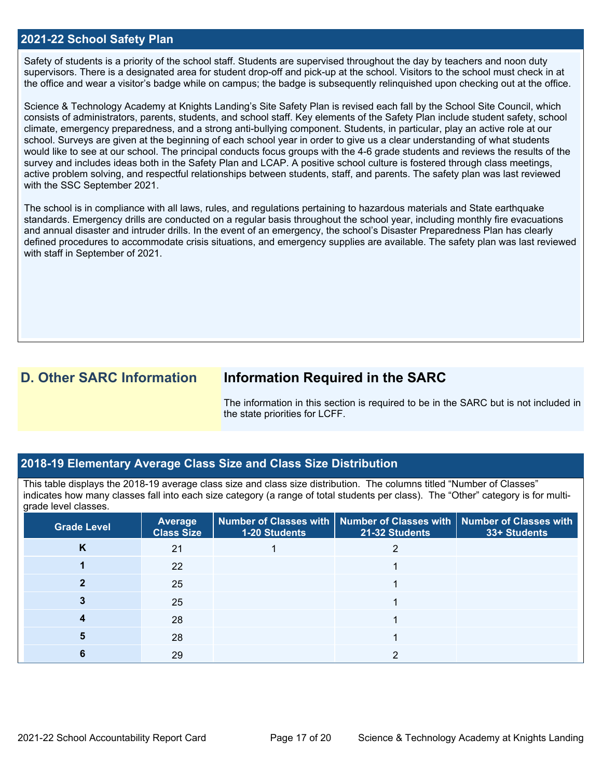#### **2021-22 School Safety Plan**

Safety of students is a priority of the school staff. Students are supervised throughout the day by teachers and noon duty supervisors. There is a designated area for student drop-off and pick-up at the school. Visitors to the school must check in at the office and wear a visitor's badge while on campus; the badge is subsequently relinquished upon checking out at the office.

Science & Technology Academy at Knights Landing's Site Safety Plan is revised each fall by the School Site Council, which consists of administrators, parents, students, and school staff. Key elements of the Safety Plan include student safety, school climate, emergency preparedness, and a strong anti-bullying component. Students, in particular, play an active role at our school. Surveys are given at the beginning of each school year in order to give us a clear understanding of what students would like to see at our school. The principal conducts focus groups with the 4-6 grade students and reviews the results of the survey and includes ideas both in the Safety Plan and LCAP. A positive school culture is fostered through class meetings, active problem solving, and respectful relationships between students, staff, and parents. The safety plan was last reviewed with the SSC September 2021.

The school is in compliance with all laws, rules, and regulations pertaining to hazardous materials and State earthquake standards. Emergency drills are conducted on a regular basis throughout the school year, including monthly fire evacuations and annual disaster and intruder drills. In the event of an emergency, the school's Disaster Preparedness Plan has clearly defined procedures to accommodate crisis situations, and emergency supplies are available. The safety plan was last reviewed with staff in September of 2021.

## **D. Other SARC Information Information Required in the SARC**

The information in this section is required to be in the SARC but is not included in the state priorities for LCFF.

#### **2018-19 Elementary Average Class Size and Class Size Distribution**

This table displays the 2018-19 average class size and class size distribution. The columns titled "Number of Classes" indicates how many classes fall into each size category (a range of total students per class). The "Other" category is for multigrade level classes.

| <b>Grade Level</b> | <b>Average</b><br><b>Class Size</b> | 1-20 Students | Number of Classes with   Number of Classes with   Number of Classes with<br>21-32 Students | 33+ Students |
|--------------------|-------------------------------------|---------------|--------------------------------------------------------------------------------------------|--------------|
| K                  | 21                                  |               |                                                                                            |              |
|                    | 22                                  |               |                                                                                            |              |
|                    | 25                                  |               |                                                                                            |              |
|                    | 25                                  |               |                                                                                            |              |
|                    | 28                                  |               |                                                                                            |              |
|                    | 28                                  |               |                                                                                            |              |
|                    | 29                                  |               |                                                                                            |              |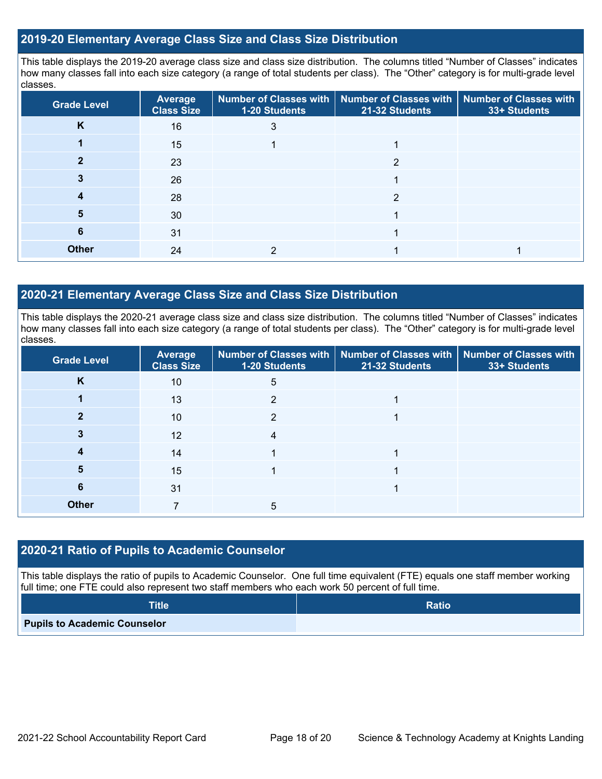#### **2019-20 Elementary Average Class Size and Class Size Distribution**

This table displays the 2019-20 average class size and class size distribution. The columns titled "Number of Classes" indicates how many classes fall into each size category (a range of total students per class). The "Other" category is for multi-grade level classes.

| <b>Grade Level</b> | Average<br><b>Class Size</b> | 1-20 Students | Number of Classes with   Number of Classes with   Number of Classes with<br>21-32 Students | 33+ Students |
|--------------------|------------------------------|---------------|--------------------------------------------------------------------------------------------|--------------|
| K                  | 16                           | 3             |                                                                                            |              |
|                    | 15                           |               |                                                                                            |              |
|                    | 23                           |               | າ                                                                                          |              |
|                    | 26                           |               |                                                                                            |              |
|                    | 28                           |               | 2                                                                                          |              |
| 5                  | 30                           |               |                                                                                            |              |
| 6                  | 31                           |               |                                                                                            |              |
| <b>Other</b>       | 24                           |               |                                                                                            |              |

#### **2020-21 Elementary Average Class Size and Class Size Distribution**

This table displays the 2020-21 average class size and class size distribution. The columns titled "Number of Classes" indicates how many classes fall into each size category (a range of total students per class). The "Other" category is for multi-grade level classes.

| <b>Grade Level</b> | Average<br><b>Class Size</b> | 1-20 Students | Number of Classes with   Number of Classes with   Number of Classes with<br>21-32 Students | 33+ Students |
|--------------------|------------------------------|---------------|--------------------------------------------------------------------------------------------|--------------|
| K                  | 10                           | 5             |                                                                                            |              |
|                    | 13                           | 2             |                                                                                            |              |
|                    | 10                           | C             |                                                                                            |              |
|                    | 12                           | 4             |                                                                                            |              |
|                    | 14                           |               |                                                                                            |              |
| 5                  | 15                           |               |                                                                                            |              |
| 6                  | 31                           |               |                                                                                            |              |
| <b>Other</b>       |                              | 5             |                                                                                            |              |

### **2020-21 Ratio of Pupils to Academic Counselor**

This table displays the ratio of pupils to Academic Counselor. One full time equivalent (FTE) equals one staff member working full time; one FTE could also represent two staff members who each work 50 percent of full time.

| <b>Title</b>                        | <b>Ratio</b> |
|-------------------------------------|--------------|
| <b>Pupils to Academic Counselor</b> |              |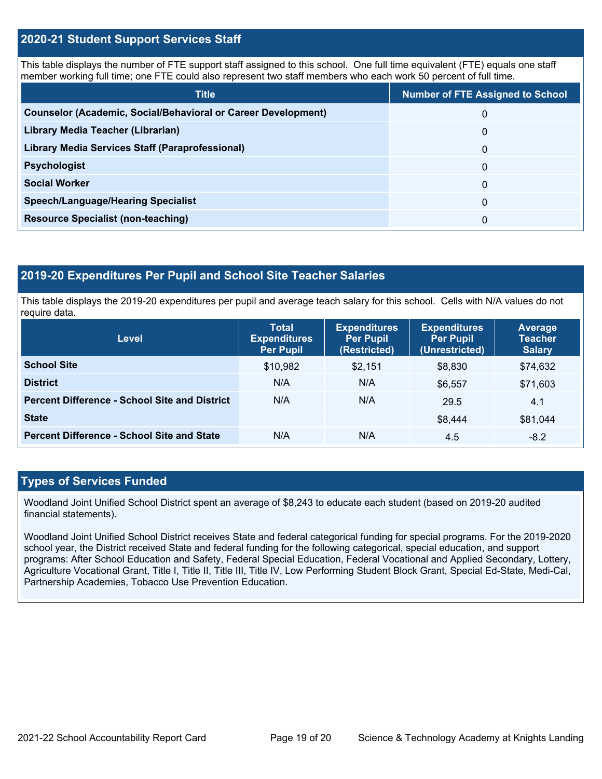#### **2020-21 Student Support Services Staff**

This table displays the number of FTE support staff assigned to this school. One full time equivalent (FTE) equals one staff member working full time; one FTE could also represent two staff members who each work 50 percent of full time.

| <b>Title</b>                                                         | <b>Number of FTE Assigned to School</b> |
|----------------------------------------------------------------------|-----------------------------------------|
| <b>Counselor (Academic, Social/Behavioral or Career Development)</b> | 0                                       |
| Library Media Teacher (Librarian)                                    | $\mathbf 0$                             |
| <b>Library Media Services Staff (Paraprofessional)</b>               | 0                                       |
| <b>Psychologist</b>                                                  | 0                                       |
| <b>Social Worker</b>                                                 | $\Omega$                                |
| <b>Speech/Language/Hearing Specialist</b>                            | $\Omega$                                |
| <b>Resource Specialist (non-teaching)</b>                            | 0                                       |

#### **2019-20 Expenditures Per Pupil and School Site Teacher Salaries**

This table displays the 2019-20 expenditures per pupil and average teach salary for this school. Cells with N/A values do not require data.

| <b>Level</b>                                         | <b>Total</b><br><b>Expenditures</b><br><b>Per Pupil</b> | <b>Expenditures</b><br><b>Per Pupil</b><br>(Restricted) | <b>Expenditures</b><br><b>Per Pupil</b><br>(Unrestricted) | <b>Average</b><br><b>Teacher</b><br><b>Salary</b> |
|------------------------------------------------------|---------------------------------------------------------|---------------------------------------------------------|-----------------------------------------------------------|---------------------------------------------------|
| <b>School Site</b>                                   | \$10,982                                                | \$2,151                                                 | \$8,830                                                   | \$74,632                                          |
| <b>District</b>                                      | N/A                                                     | N/A                                                     | \$6,557                                                   | \$71,603                                          |
| <b>Percent Difference - School Site and District</b> | N/A                                                     | N/A                                                     | 29.5                                                      | 4.1                                               |
| <b>State</b>                                         |                                                         |                                                         | \$8.444                                                   | \$81,044                                          |
| <b>Percent Difference - School Site and State</b>    | N/A                                                     | N/A                                                     | 4.5                                                       | $-8.2$                                            |

#### **Types of Services Funded**

Woodland Joint Unified School District spent an average of \$8,243 to educate each student (based on 2019-20 audited financial statements).

Woodland Joint Unified School District receives State and federal categorical funding for special programs. For the 2019-2020 school year, the District received State and federal funding for the following categorical, special education, and support programs: After School Education and Safety, Federal Special Education, Federal Vocational and Applied Secondary, Lottery, Agriculture Vocational Grant, Title I, Title II, Title III, Title IV, Low Performing Student Block Grant, Special Ed-State, Medi-Cal, Partnership Academies, Tobacco Use Prevention Education.